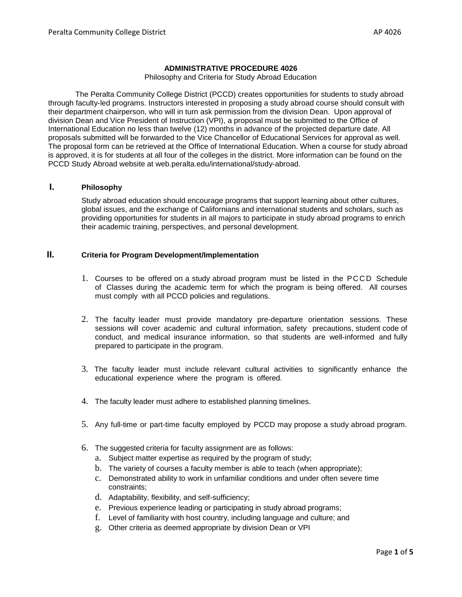#### **ADMINISTRATIVE PROCEDURE 4026**

Philosophy and Criteria for Study Abroad Education

The Peralta Community College District (PCCD) creates opportunities for students to study abroad through faculty-led programs. Instructors interested in proposing a study abroad course should consult with their department chairperson, who will in turn ask permission from the division Dean. Upon approval of division Dean and Vice President of Instruction (VPI), a proposal must be submitted to the Office of International Education no less than twelve (12) months in advance of the projected departure date. All proposals submitted will be forwarded to the Vice Chancellor of Educational Services for approval as well. The proposal form can be retrieved at the Office of International Education. When a course for study abroad is approved, it is for students at all four of the colleges in the district. More information can be found on the PCCD Study Abroad website at web.peralta.edu/international/study-abroad.

# **I. Philosophy**

Study abroad education should encourage programs that support learning about other cultures, global issues, and the exchange of Californians and international students and scholars, such as providing opportunities for students in all majors to participate in study abroad programs to enrich their academic training, perspectives, and personal development.

## **II. Criteria for Program Development/Implementation**

- 1. Courses to be offered on a study abroad program must be listed in the PCCD Schedule of Classes during the academic term for which the program is being offered. All courses must comply with all PCCD policies and regulations.
- 2. The faculty leader must provide mandatory pre-departure orientation sessions. These sessions will cover academic and cultural information, safety precautions, student code of conduct, and medical insurance information, so that students are well-informed and fully prepared to participate in the program.
- 3. The faculty leader must include relevant cultural activities to significantly enhance the educational experience where the program is offered.
- 4. The faculty leader must adhere to established planning timelines.
- 5. Any full-time or part-time faculty employed by PCCD may propose a study abroad program.
- 6. The suggested criteria for faculty assignment are as follows:
	- a. Subject matter expertise as required by the program of study;
	- b. The variety of courses a faculty member is able to teach (when appropriate);
	- c. Demonstrated ability to work in unfamiliar conditions and under often severe time constraints;
	- d. Adaptability, flexibility, and self-sufficiency;
	- e. Previous experience leading or participating in study abroad programs;
	- f. Level of familiarity with host country, including language and culture; and
	- g. Other criteria as deemed appropriate by division Dean or VPI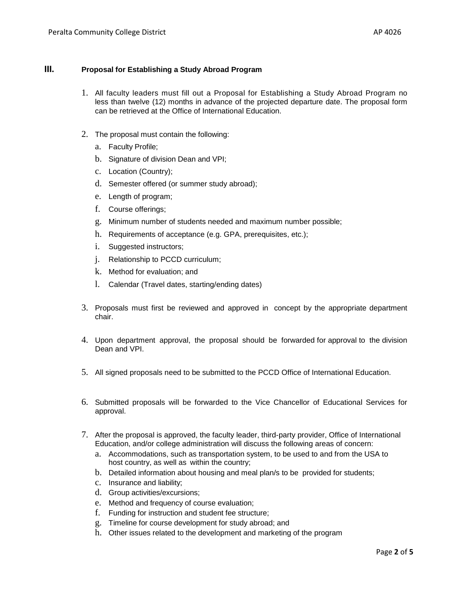# **III. Proposal for Establishing a Study Abroad Program**

- 1. All faculty leaders must fill out a Proposal for Establishing a Study Abroad Program no less than twelve (12) months in advance of the projected departure date. The proposal form can be retrieved at the Office of International Education.
- 2. The proposal must contain the following:
	- a. Faculty Profile;
	- b. Signature of division Dean and VPI;
	- c. Location (Country);
	- d. Semester offered (or summer study abroad);
	- e. Length of program;
	- f. Course offerings;
	- g. Minimum number of students needed and maximum number possible;
	- h. Requirements of acceptance (e.g. GPA, prerequisites, etc.);
	- i. Suggested instructors;
	- j. Relationship to PCCD curriculum;
	- k. Method for evaluation; and
	- l. Calendar (Travel dates, starting/ending dates)
- 3. Proposals must first be reviewed and approved in concept by the appropriate department chair.
- 4. Upon department approval, the proposal should be forwarded for approval to the division Dean and VPI.
- 5. All signed proposals need to be submitted to the PCCD Office of International Education.
- 6. Submitted proposals will be forwarded to the Vice Chancellor of Educational Services for approval.
- 7. After the proposal is approved, the faculty leader, third-party provider, Office of International Education, and/or college administration will discuss the following areas of concern:
	- a. Accommodations, such as transportation system, to be used to and from the USA to host country, as well as within the country;
	- b. Detailed information about housing and meal plan/s to be provided for students;
	- c. Insurance and liability;
	- d. Group activities/excursions;
	- e. Method and frequency of course evaluation;
	- f. Funding for instruction and student fee structure;
	- g. Timeline for course development for study abroad; and
	- h. Other issues related to the development and marketing of the program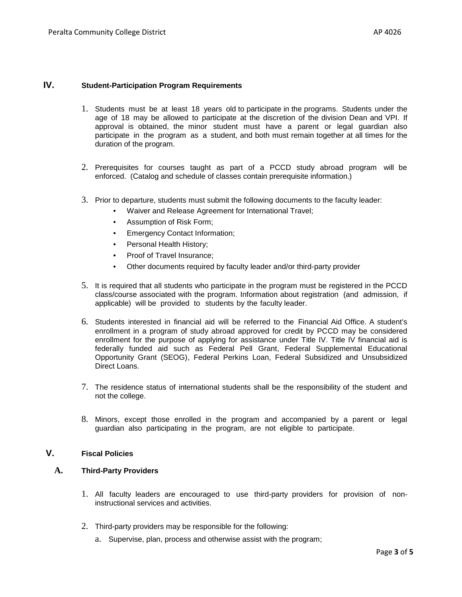## **IV. Student-Participation Program Requirements**

- 1. Students must be at least 18 years old to participate in the programs. Students under the age of 18 may be allowed to participate at the discretion of the division Dean and VPI. If approval is obtained, the minor student must have a parent or legal guardian also participate in the program as a student, and both must remain together at all times for the duration of the program.
- 2. Prerequisites for courses taught as part of a PCCD study abroad program will be enforced. (Catalog and schedule of classes contain prerequisite information.)
- 3. Prior to departure, students must submit the following documents to the faculty leader:
	- Waiver and Release Agreement for International Travel;
	- Assumption of Risk Form;
	- **Emergency Contact Information;**
	- Personal Health History;
	- Proof of Travel Insurance;
	- Other documents required by faculty leader and/or third-party provider
- 5. It is required that all students who participate in the program must be registered in the PCCD class/course associated with the program. Information about registration (and admission, if applicable) will be provided to students by the faculty leader.
- 6. Students interested in financial aid will be referred to the Financial Aid Office. A student's enrollment in a program of study abroad approved for credit by PCCD may be considered enrollment for the purpose of applying for assistance under Title IV. Title IV financial aid is federally funded aid such as Federal Pell Grant, Federal Supplemental Educational Opportunity Grant (SEOG), Federal Perkins Loan, Federal Subsidized and Unsubsidized Direct Loans.
- 7. The residence status of international students shall be the responsibility of the student and not the college.
- 8. Minors, except those enrolled in the program and accompanied by a parent or legal guardian also participating in the program, are not eligible to participate.

## **V. Fiscal Policies**

## **A. Third-Party Providers**

- 1. All faculty leaders are encouraged to use third-party providers for provision of noninstructional services and activities.
- 2. Third-party providers may be responsible for the following:
	- a. Supervise, plan, process and otherwise assist with the program;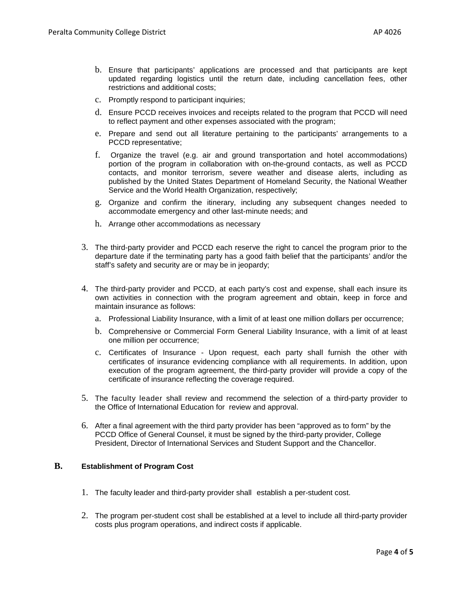- b. Ensure that participants' applications are processed and that participants are kept updated regarding logistics until the return date, including cancellation fees, other restrictions and additional costs;
- c. Promptly respond to participant inquiries;
- d. Ensure PCCD receives invoices and receipts related to the program that PCCD will need to reflect payment and other expenses associated with the program;
- e. Prepare and send out all literature pertaining to the participants' arrangements to a PCCD representative;
- f. Organize the travel (e.g. air and ground transportation and hotel accommodations) portion of the program in collaboration with on-the-ground contacts, as well as PCCD contacts, and monitor terrorism, severe weather and disease alerts, including as published by the United States Department of Homeland Security, the National Weather Service and the World Health Organization, respectively;
- g. Organize and confirm the itinerary, including any subsequent changes needed to accommodate emergency and other last-minute needs; and
- h. Arrange other accommodations as necessary
- 3. The third-party provider and PCCD each reserve the right to cancel the program prior to the departure date if the terminating party has a good faith belief that the participants' and/or the staff's safety and security are or may be in jeopardy;
- 4. The third-party provider and PCCD, at each party's cost and expense, shall each insure its own activities in connection with the program agreement and obtain, keep in force and maintain insurance as follows:
	- a. Professional Liability Insurance, with a limit of at least one million dollars per occurrence;
	- b. Comprehensive or Commercial Form General Liability Insurance, with a limit of at least one million per occurrence;
	- c. Certificates of Insurance Upon request, each party shall furnish the other with certificates of insurance evidencing compliance with all requirements. In addition, upon execution of the program agreement, the third-party provider will provide a copy of the certificate of insurance reflecting the coverage required.
- 5. The faculty leader shall review and recommend the selection of a third-party provider to the Office of International Education for review and approval.
- 6. After a final agreement with the third party provider has been "approved as to form" by the PCCD Office of General Counsel, it must be signed by the third-party provider, College President, Director of International Services and Student Support and the Chancellor.

### **B. Establishment of Program Cost**

- 1. The faculty leader and third-party provider shall establish a per-student cost.
- 2. The program per-student cost shall be established at a level to include all third-party provider costs plus program operations, and indirect costs if applicable.